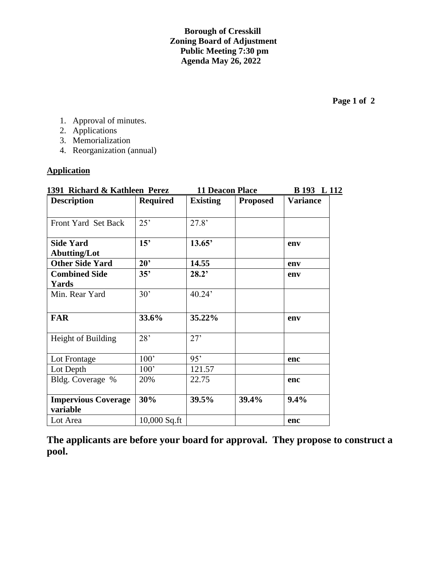**Borough of Cresskill Zoning Board of Adjustment Public Meeting 7:30 pm Agenda May 26, 2022**

- 1. Approval of minutes.
- 2. Applications
- 3. Memorialization
- 4. Reorganization (annual)

## **Application**

| 1391 Richard & Kathleen Perez           |                 | <b>11 Deacon Place</b> | B 193 L 112     |                 |  |
|-----------------------------------------|-----------------|------------------------|-----------------|-----------------|--|
| <b>Description</b>                      | <b>Required</b> | <b>Existing</b>        | <b>Proposed</b> | <b>Variance</b> |  |
| Front Yard Set Back                     | 25'             | 27.8'                  |                 |                 |  |
| <b>Side Yard</b><br><b>Abutting/Lot</b> | 15'             | 13.65'                 |                 | env             |  |
| <b>Other Side Yard</b>                  | $20^{\circ}$    | 14.55                  |                 | env             |  |
| <b>Combined Side</b><br>Yards           | 35'             | 28.2'                  |                 | env             |  |
| Min. Rear Yard                          | 30'             | 40.24'                 |                 |                 |  |
| <b>FAR</b>                              | 33.6%           | 35.22%                 |                 | env             |  |
| Height of Building                      | 28'             | 27'                    |                 |                 |  |
| Lot Frontage                            | 100'            | 95'                    |                 | enc             |  |
| Lot Depth                               | 100'            | 121.57                 |                 |                 |  |
| Bldg. Coverage %                        | 20%             | 22.75                  |                 | enc             |  |
| <b>Impervious Coverage</b><br>variable  | 30%             | 39.5%                  | 39.4%           | 9.4%            |  |
| Lot Area                                | 10,000 Sq.ft    |                        |                 | enc             |  |

**The applicants are before your board for approval. They propose to construct a pool.**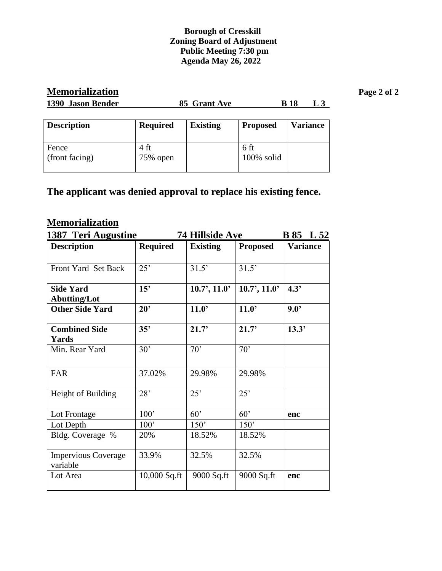## **Borough of Cresskill Zoning Board of Adjustment Public Meeting 7:30 pm Agenda May 26, 2022**

| <b>Memorialization</b><br>1390 Jason Bender | <b>B</b> 18<br>85 Grant Ave<br>L3 |                 |                    |  |                 | Page 2 of 2 |
|---------------------------------------------|-----------------------------------|-----------------|--------------------|--|-----------------|-------------|
| <b>Description</b>                          | <b>Required</b>                   | <b>Existing</b> | <b>Proposed</b>    |  | <b>Variance</b> |             |
| Fence<br>(front facing)                     | $4 \text{ ft}$<br>75% open        |                 | 6 ft<br>100% solid |  |                 |             |

## **The applicant was denied approval to replace his existing fence.**

## **Memorialization**

| 1387 Teri Augustine                     |                 | <b>74 Hillside Ave</b><br><b>B</b> 85 L 52 |                    |                 |  |
|-----------------------------------------|-----------------|--------------------------------------------|--------------------|-----------------|--|
| <b>Description</b>                      | <b>Required</b> | <b>Existing</b>                            | <b>Proposed</b>    | <b>Variance</b> |  |
| <b>Front Yard Set Back</b>              | 25'             | 31.5'                                      | 31.5'              |                 |  |
| <b>Side Yard</b><br><b>Abutting/Lot</b> | 15'             | $10.7$ ', $11.0$ '                         | $10.7$ ', $11.0$ ' | 4.3'            |  |
| <b>Other Side Yard</b>                  | $20^{\circ}$    | 11.0                                       | 11.0               | $9.0^{\circ}$   |  |
| <b>Combined Side</b><br>Yards           | 35'             | 21.7'                                      | 21.7'              | 13.3'           |  |
| Min. Rear Yard                          | 30'             | 70'                                        | 70'                |                 |  |
| <b>FAR</b>                              | 37.02%          | 29.98%                                     | 29.98%             |                 |  |
| Height of Building                      | 28'             | 25'                                        | 25'                |                 |  |
| Lot Frontage                            | 100'            | 60'                                        | 60'                | enc             |  |
| Lot Depth                               | 100'            | 150'                                       | 150'               |                 |  |
| Bldg. Coverage %                        | 20%             | 18.52%                                     | 18.52%             |                 |  |
| <b>Impervious Coverage</b><br>variable  | 33.9%           | 32.5%                                      | 32.5%              |                 |  |
| Lot Area                                | $10,000$ Sq.ft  | 9000 Sq.ft                                 | 9000 Sq.ft         | enc             |  |